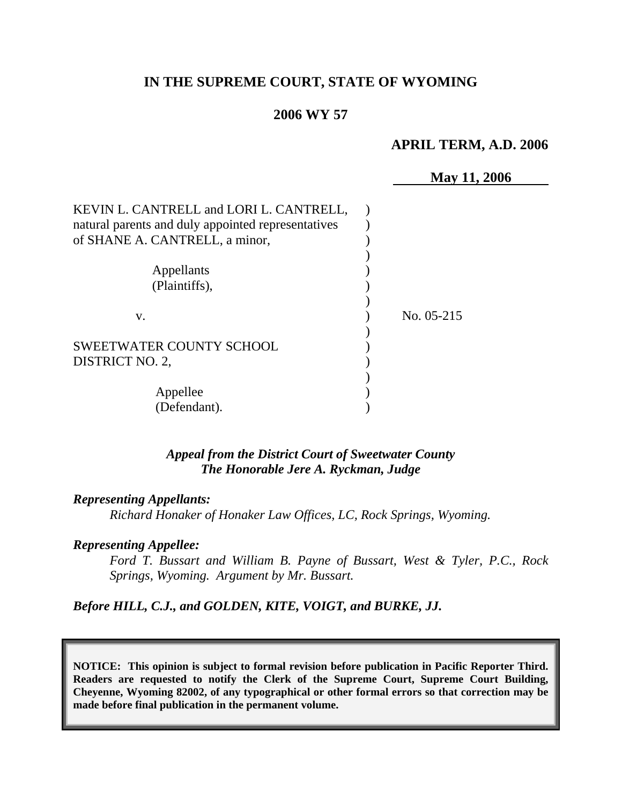# **IN THE SUPREME COURT, STATE OF WYOMING**

## **2006 WY 57**

#### **APRIL TERM, A.D. 2006**

|                                                    | <b>May 11, 2006</b> |
|----------------------------------------------------|---------------------|
| KEVIN L. CANTRELL and LORI L. CANTRELL,            |                     |
| natural parents and duly appointed representatives |                     |
| of SHANE A. CANTRELL, a minor,                     |                     |
|                                                    |                     |
| Appellants                                         |                     |
| (Plaintiffs),                                      |                     |
| V.                                                 | No. 05-215          |
| <b>SWEETWATER COUNTY SCHOOL</b>                    |                     |
| DISTRICT NO. 2,                                    |                     |
|                                                    |                     |
| Appellee                                           |                     |
| (Defendant).                                       |                     |

## *Appeal from the District Court of Sweetwater County The Honorable Jere A. Ryckman, Judge*

### *Representing Appellants:*

*Richard Honaker of Honaker Law Offices, LC, Rock Springs, Wyoming.* 

#### *Representing Appellee:*

*Ford T. Bussart and William B. Payne of Bussart, West & Tyler, P.C., Rock Springs, Wyoming. Argument by Mr. Bussart.* 

## *Before HILL, C.J., and GOLDEN, KITE, VOIGT, and BURKE, JJ.*

**NOTICE: This opinion is subject to formal revision before publication in Pacific Reporter Third. Readers are requested to notify the Clerk of the Supreme Court, Supreme Court Building, Cheyenne, Wyoming 82002, of any typographical or other formal errors so that correction may be made before final publication in the permanent volume.**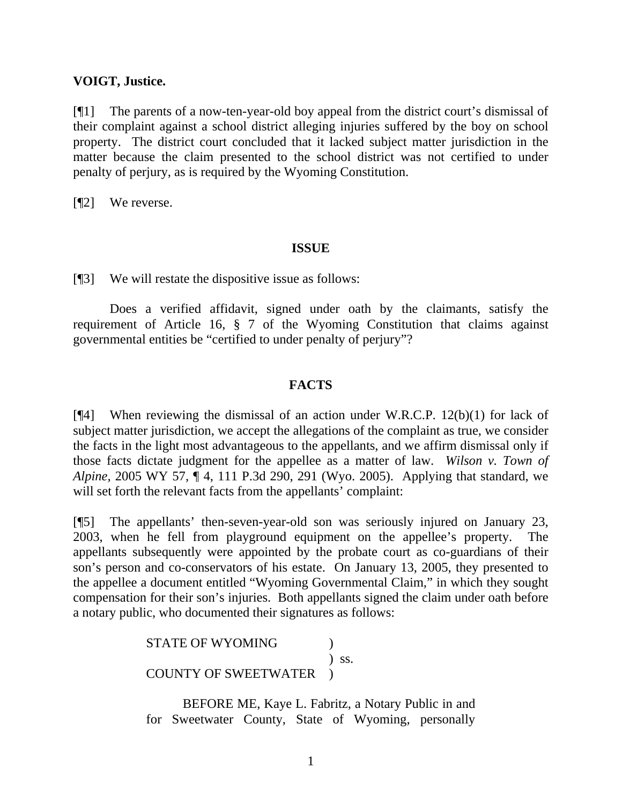## **VOIGT, Justice.**

[¶1] The parents of a now-ten-year-old boy appeal from the district court's dismissal of their complaint against a school district alleging injuries suffered by the boy on school property. The district court concluded that it lacked subject matter jurisdiction in the matter because the claim presented to the school district was not certified to under penalty of perjury, as is required by the Wyoming Constitution.

[¶2] We reverse.

#### **ISSUE**

[¶3] We will restate the dispositive issue as follows:

 Does a verified affidavit, signed under oath by the claimants, satisfy the requirement of Article 16, § 7 of the Wyoming Constitution that claims against governmental entities be "certified to under penalty of perjury"?

## **FACTS**

[¶4] When reviewing the dismissal of an action under W.R.C.P. 12(b)(1) for lack of subject matter jurisdiction, we accept the allegations of the complaint as true, we consider the facts in the light most advantageous to the appellants, and we affirm dismissal only if those facts dictate judgment for the appellee as a matter of law. *Wilson v. Town of Alpine,* 2005 WY 57, ¶ 4, 111 P.3d 290, 291 (Wyo. 2005). Applying that standard, we will set forth the relevant facts from the appellants' complaint:

[¶5] The appellants' then-seven-year-old son was seriously injured on January 23, 2003, when he fell from playground equipment on the appellee's property. The appellants subsequently were appointed by the probate court as co-guardians of their son's person and co-conservators of his estate. On January 13, 2005, they presented to the appellee a document entitled "Wyoming Governmental Claim," in which they sought compensation for their son's injuries. Both appellants signed the claim under oath before a notary public, who documented their signatures as follows:

> STATE OF WYOMING  $\qquad \qquad$  )  $\sum$  ss. COUNTY OF SWEETWATER )

 BEFORE ME, Kaye L. Fabritz, a Notary Public in and for Sweetwater County, State of Wyoming, personally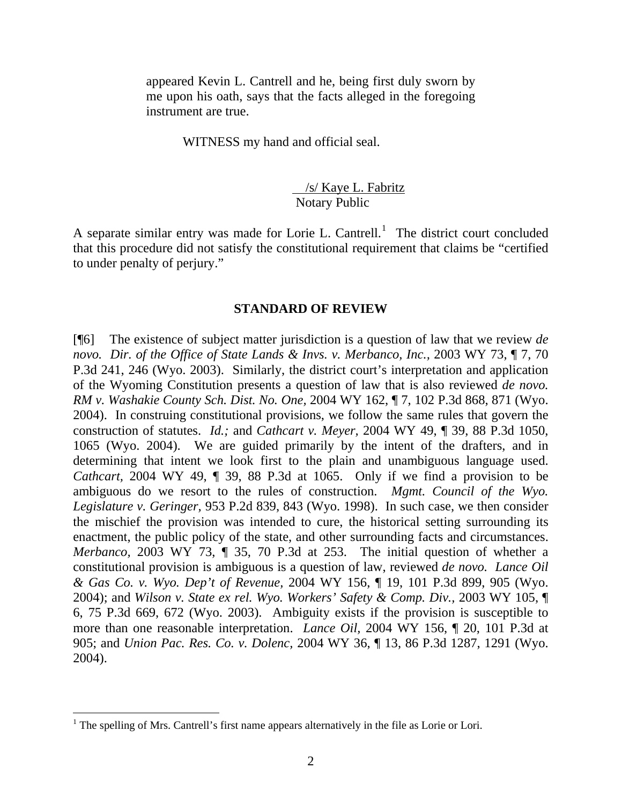appeared Kevin L. Cantrell and he, being first duly sworn by me upon his oath, says that the facts alleged in the foregoing instrument are true.

WITNESS my hand and official seal.

## /s/ Kaye L. Fabritz Notary Public

A separate similar entry was made for Lorie L. Cantrell.<sup>[1](#page-2-0)</sup> The district court concluded that this procedure did not satisfy the constitutional requirement that claims be "certified to under penalty of perjury."

## **STANDARD OF REVIEW**

[¶6] The existence of subject matter jurisdiction is a question of law that we review *de novo. Dir. of the Office of State Lands & Invs. v. Merbanco, Inc.,* 2003 WY 73, ¶ 7, 70 P.3d 241, 246 (Wyo. 2003). Similarly, the district court's interpretation and application of the Wyoming Constitution presents a question of law that is also reviewed *de novo. RM v. Washakie County Sch. Dist. No. One,* 2004 WY 162, ¶ 7, 102 P.3d 868, 871 (Wyo. 2004). In construing constitutional provisions, we follow the same rules that govern the construction of statutes. *Id.;* and *Cathcart v. Meyer,* 2004 WY 49, ¶ 39, 88 P.3d 1050, 1065 (Wyo. 2004). We are guided primarily by the intent of the drafters, and in determining that intent we look first to the plain and unambiguous language used. *Cathcart,* 2004 WY 49, ¶ 39, 88 P.3d at 1065. Only if we find a provision to be ambiguous do we resort to the rules of construction. *Mgmt. Council of the Wyo. Legislature v. Geringer,* 953 P.2d 839, 843 (Wyo. 1998). In such case, we then consider the mischief the provision was intended to cure, the historical setting surrounding its enactment, the public policy of the state, and other surrounding facts and circumstances. *Merbanco,* 2003 WY 73, ¶ 35, 70 P.3d at 253. The initial question of whether a constitutional provision is ambiguous is a question of law, reviewed *de novo. Lance Oil & Gas Co. v. Wyo. Dep't of Revenue,* 2004 WY 156, ¶ 19, 101 P.3d 899, 905 (Wyo. 2004); and *Wilson v. State ex rel. Wyo. Workers' Safety & Comp. Div.,* 2003 WY 105, ¶ 6, 75 P.3d 669, 672 (Wyo. 2003). Ambiguity exists if the provision is susceptible to more than one reasonable interpretation. *Lance Oil,* 2004 WY 156, ¶ 20, 101 P.3d at 905; and *Union Pac. Res. Co. v. Dolenc,* 2004 WY 36, ¶ 13, 86 P.3d 1287, 1291 (Wyo. 2004).

<span id="page-2-0"></span><sup>&</sup>lt;sup>1</sup> The spelling of Mrs. Cantrell's first name appears alternatively in the file as Lorie or Lori.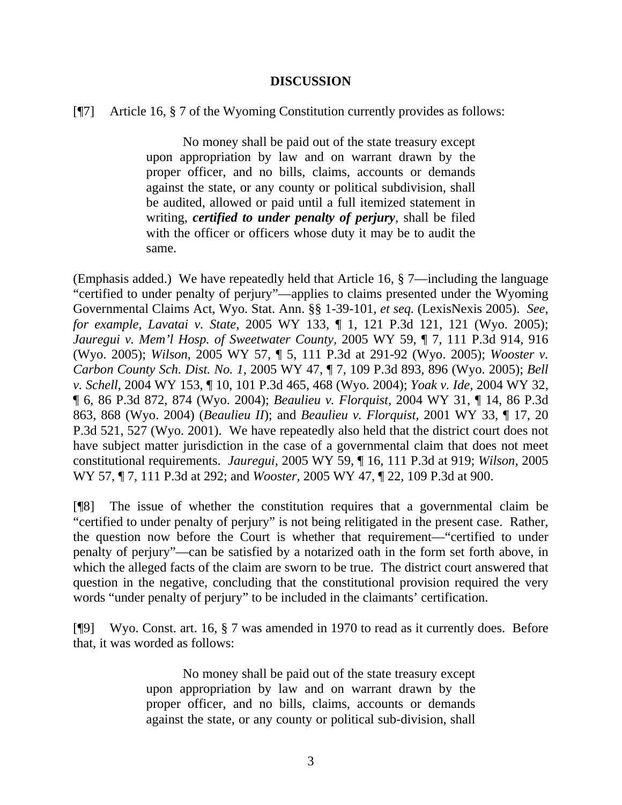#### **DISCUSSION**

#### [¶7] Article 16, § 7 of the Wyoming Constitution currently provides as follows:

 No money shall be paid out of the state treasury except upon appropriation by law and on warrant drawn by the proper officer, and no bills, claims, accounts or demands against the state, or any county or political subdivision, shall be audited, allowed or paid until a full itemized statement in writing, *certified to under penalty of perjury*, shall be filed with the officer or officers whose duty it may be to audit the same.

(Emphasis added.) We have repeatedly held that Article 16, § 7—including the language "certified to under penalty of perjury"—applies to claims presented under the Wyoming Governmental Claims Act, Wyo. Stat. Ann. §§ 1-39-101, *et seq.* (LexisNexis 2005). *See, for example, Lavatai v. State,* 2005 WY 133, ¶ 1, 121 P.3d 121, 121 (Wyo. 2005); *Jauregui v. Mem'l Hosp. of Sweetwater County,* 2005 WY 59, ¶ 7, 111 P.3d 914, 916 (Wyo. 2005); *Wilson,* 2005 WY 57, ¶ 5, 111 P.3d at 291-92 (Wyo. 2005); *Wooster v. Carbon County Sch. Dist. No. 1,* 2005 WY 47, ¶ 7, 109 P.3d 893, 896 (Wyo. 2005); *Bell v. Schell,* 2004 WY 153, ¶ 10, 101 P.3d 465, 468 (Wyo. 2004); *Yoak v. Ide,* 2004 WY 32, ¶ 6, 86 P.3d 872, 874 (Wyo. 2004); *Beaulieu v. Florquist,* 2004 WY 31, ¶ 14, 86 P.3d 863, 868 (Wyo. 2004) (*Beaulieu II*); and *Beaulieu v. Florquist,* 2001 WY 33, ¶ 17, 20 P.3d 521, 527 (Wyo. 2001). We have repeatedly also held that the district court does not have subject matter jurisdiction in the case of a governmental claim that does not meet constitutional requirements. *Jauregui,* 2005 WY 59, ¶ 16, 111 P.3d at 919; *Wilson,* 2005 WY 57, ¶ 7, 111 P.3d at 292; and *Wooster,* 2005 WY 47, ¶ 22, 109 P.3d at 900.

[¶8] The issue of whether the constitution requires that a governmental claim be "certified to under penalty of perjury" is not being relitigated in the present case. Rather, the question now before the Court is whether that requirement—"certified to under penalty of perjury"—can be satisfied by a notarized oath in the form set forth above, in which the alleged facts of the claim are sworn to be true. The district court answered that question in the negative, concluding that the constitutional provision required the very words "under penalty of perjury" to be included in the claimants' certification.

[¶9] Wyo. Const. art. 16, § 7 was amended in 1970 to read as it currently does. Before that, it was worded as follows:

> No money shall be paid out of the state treasury except upon appropriation by law and on warrant drawn by the proper officer, and no bills, claims, accounts or demands against the state, or any county or political sub-division, shall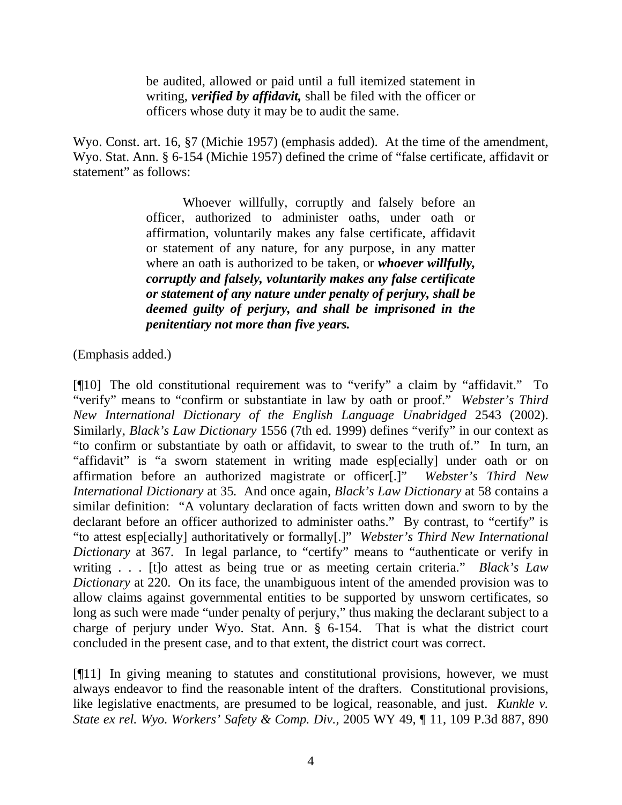be audited, allowed or paid until a full itemized statement in writing, *verified by affidavit,* shall be filed with the officer or officers whose duty it may be to audit the same.

Wyo. Const. art. 16, §7 (Michie 1957) (emphasis added). At the time of the amendment, Wyo. Stat. Ann. § 6-154 (Michie 1957) defined the crime of "false certificate, affidavit or statement" as follows:

> Whoever willfully, corruptly and falsely before an officer, authorized to administer oaths, under oath or affirmation, voluntarily makes any false certificate, affidavit or statement of any nature, for any purpose, in any matter where an oath is authorized to be taken, or *whoever willfully, corruptly and falsely, voluntarily makes any false certificate or statement of any nature under penalty of perjury, shall be deemed guilty of perjury, and shall be imprisoned in the penitentiary not more than five years.*

(Emphasis added.)

[¶10] The old constitutional requirement was to "verify" a claim by "affidavit." To "verify" means to "confirm or substantiate in law by oath or proof." *Webster's Third New International Dictionary of the English Language Unabridged* 2543 (2002). Similarly, *Black's Law Dictionary* 1556 (7th ed. 1999) defines "verify" in our context as "to confirm or substantiate by oath or affidavit, to swear to the truth of." In turn, an "affidavit" is "a sworn statement in writing made esp[ecially] under oath or on affirmation before an authorized magistrate or officer[.]" *Webster's Third New International Dictionary* at 35*.* And once again, *Black's Law Dictionary* at 58 contains a similar definition: "A voluntary declaration of facts written down and sworn to by the declarant before an officer authorized to administer oaths." By contrast, to "certify" is "to attest esp[ecially] authoritatively or formally[.]" *Webster's Third New International Dictionary* at 367*.* In legal parlance, to "certify" means to "authenticate or verify in writing . . . [t]o attest as being true or as meeting certain criteria." *Black's Law Dictionary* at 220. On its face, the unambiguous intent of the amended provision was to allow claims against governmental entities to be supported by unsworn certificates, so long as such were made "under penalty of perjury," thus making the declarant subject to a charge of perjury under Wyo. Stat. Ann. § 6-154. That is what the district court concluded in the present case, and to that extent, the district court was correct.

[¶11] In giving meaning to statutes and constitutional provisions, however, we must always endeavor to find the reasonable intent of the drafters. Constitutional provisions, like legislative enactments, are presumed to be logical, reasonable, and just. *Kunkle v. State ex rel. Wyo. Workers' Safety & Comp. Div.,* 2005 WY 49, ¶ 11, 109 P.3d 887, 890